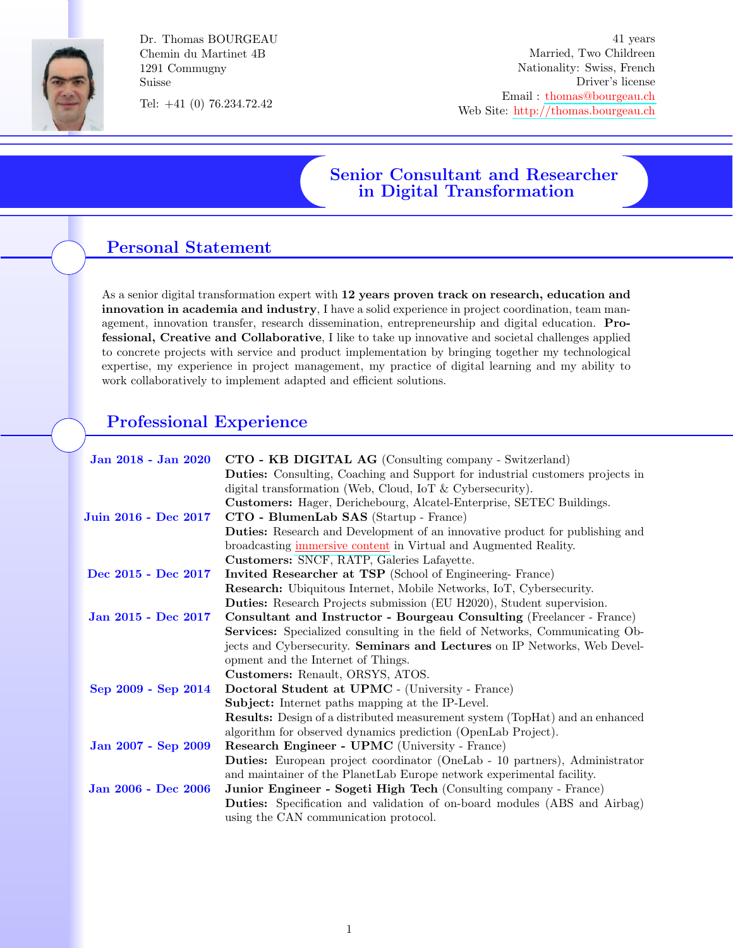

Dr. Thomas BOURGEAU Chemin du Martinet 4B 1291 Commugny Suisse

Tel: +41 (0) 76.234.72.42

41 years Married, Two Childreen Nationality: Swiss, French Driver's license Email : [thomas@bourgeau.ch](mailto:thomas@bourgeau.ch) Web Site: <http://thomas.bourgeau.ch>

# Senior Consultant and Researcher in Digital Transformation

# Personal Statement

As a senior digital transformation expert with 12 years proven track on research, education and innovation in academia and industry, I have a solid experience in project coordination, team management, innovation transfer, research dissemination, entrepreneurship and digital education. Professional, Creative and Collaborative, I like to take up innovative and societal challenges applied to concrete projects with service and product implementation by bringing together my technological expertise, my experience in project management, my practice of digital learning and my ability to work collaboratively to implement adapted and efficient solutions.

## Professional Experience

| Jan 2018 - Jan 2020  | CTO - KB DIGITAL AG (Consulting company - Switzerland)                               |
|----------------------|--------------------------------------------------------------------------------------|
|                      | <b>Duties:</b> Consulting, Coaching and Support for industrial customers projects in |
|                      | digital transformation (Web, Cloud, IoT & Cybersecurity).                            |
|                      | Customers: Hager, Derichebourg, Alcatel-Enterprise, SETEC Buildings.                 |
| Juin 2016 - Dec 2017 | CTO - BlumenLab SAS (Startup - France)                                               |
|                      | <b>Duties:</b> Research and Development of an innovative product for publishing and  |
|                      | broadcasting immersive content in Virtual and Augmented Reality.                     |
|                      | Customers: SNCF, RATP, Galeries Lafayette.                                           |
| Dec 2015 - Dec 2017  | Invited Researcher at TSP (School of Engineering-France)                             |
|                      | <b>Research:</b> Ubiquitous Internet, Mobile Networks, IoT, Cybersecurity.           |
|                      | Duties: Research Projects submission (EU H2020), Student supervision.                |
| Jan 2015 - Dec 2017  | Consultant and Instructor - Bourgeau Consulting (Freelancer - France)                |
|                      | <b>Services:</b> Specialized consulting in the field of Networks, Communicating Ob-  |
|                      | jects and Cybersecurity. Seminars and Lectures on IP Networks, Web Devel-            |
|                      | opment and the Internet of Things.                                                   |
|                      | Customers: Renault, ORSYS, ATOS.                                                     |
| Sep 2009 - Sep 2014  | Doctoral Student at UPMC - (University - France)                                     |
|                      | <b>Subject:</b> Internet paths mapping at the IP-Level.                              |
|                      | <b>Results:</b> Design of a distributed measurement system (TopHat) and an enhanced  |
|                      | algorithm for observed dynamics prediction (OpenLab Project).                        |
| Jan 2007 - Sep 2009  | Research Engineer - UPMC (University - France)                                       |
|                      | <b>Duties:</b> European project coordinator (OneLab - 10 partners), Administrator    |
|                      | and maintainer of the PlanetLab Europe network experimental facility.                |
| Jan 2006 - Dec 2006  | Junior Engineer - Sogeti High Tech (Consulting company - France)                     |
|                      | <b>Duties:</b> Specification and validation of on-board modules (ABS and Airbag)     |
|                      | using the CAN communication protocol.                                                |